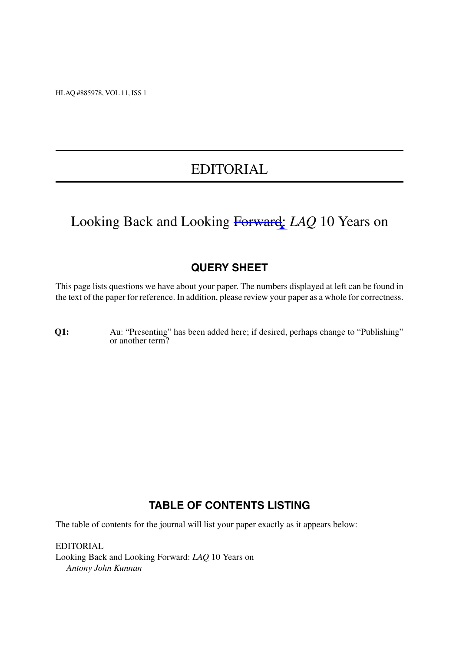HLAQ #885978, VOL 11, ISS 1

# EDITORIAL

# Looking Back and Looking Forward: *LAQ* 10 Years on

### **QUERY SHEET**

This page lists questions we have about your paper. The numbers displayed at left can be found in the text of the paper for reference. In addition, please review your paper as a whole for correctness.

**Q1:** Au: "Presenting" has been added here; if desired, perhaps change to "Publishing" or another term?

#### **TABLE OF CONTENTS LISTING**

The table of contents for the journal will list your paper exactly as it appears below:

EDITORIAL Looking Back and Looking Forward: *LAQ* 10 Years on *Antony John Kunnan*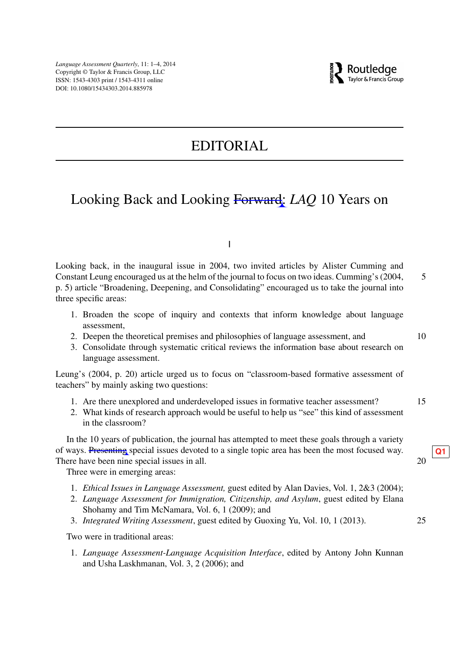# EDITORIAL

### Looking Back and Looking Forward: *LAQ* 10 Years on

I

Looking back, in the inaugural issue in 2004, two invited articles by Alister Cumming and Constant Leung encouraged us at the helm of the journal to focus on two ideas. Cumming's (2004, 5 p. 5) article "Broadening, Deepening, and Consolidating" encouraged us to take the journal into three specific areas:

- 1. Broaden the scope of inquiry and contexts that inform knowledge about language assessment,
- 2. Deepen the theoretical premises and philosophies of language assessment, and 10
- 3. Consolidate through systematic critical reviews the information base about research on language assessment.

Leung's (2004, p. 20) article urged us to focus on "classroom-based formative assessment of teachers" by mainly asking two questions:

- 1. Are there unexplored and underdeveloped issues in formative teacher assessment? 15
- 2. What kinds of research approach would be useful to help us "see" this kind of assessment in the classroom?

In the 10 years of publication, the journal has attempted to meet these goals through a variety of ways. Presenting special issues devoted to a single topic area has been the most focused way.  $Q_0$   $Q_1$ <br>There have been nine special issues in all. There have been nine special issues in all.

Three were in emerging areas:

- 1. *Ethical Issues in Language Assessment,* guest edited by Alan Davies, Vol. 1, 2&3 (2004);
- 2. *Language Assessment for Immigration, Citizenship, and Asylum*, guest edited by Elana Shohamy and Tim McNamara, Vol. 6, 1 (2009); and
- 3. *Integrated Writing Assessment*, guest edited by Guoxing Yu, Vol. 10, 1 (2013). 25

Two were in traditional areas:

1. *Language Assessment-Language Acquisition Interface*, edited by Antony John Kunnan and Usha Laskhmanan, Vol. 3, 2 (2006); and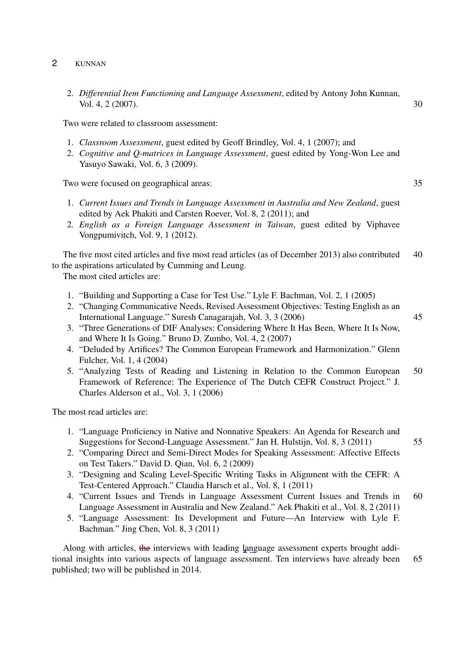- 2 KUNNAN
	- 2. *Differential Item Functioning and Language Assessment*, edited by Antony John Kunnan, Vol. 4, 2 (2007). 30

Two were related to classroom assessment:

- 1. *Classroom Assessment*, guest edited by Geoff Brindley, Vol. 4, 1 (2007); and
- 2. *Cognitive and Q-matrices in Language Assessment*, guest edited by Yong-Won Lee and Yasuyo Sawaki, Vol. 6, 3 (2009).

Two were focused on geographical areas: 35

- 1. *Current Issues and Trends in Language Assessment in Australia and New Zealand*, guest edited by Aek Phakiti and Carsten Roever, Vol. 8, 2 (2011); and
- 2. *English as a Foreign Language Assessment in Taiwan*, guest edited by Viphavee Vongpumivitch, Vol. 9, 1 (2012).

The five most cited articles and five most read articles (as of December 2013) also contributed 40 to the aspirations articulated by Cumming and Leung.

The most cited articles are:

- 1. "Building and Supporting a Case for Test Use." Lyle F. Bachman, Vol. 2, 1 (2005)
- 2. "Changing Communicative Needs, Revised Assessment Objectives: Testing English as an International Language." Suresh Canagarajah, Vol. 3, 3 (2006) 45
- 3. "Three Generations of DIF Analyses: Considering Where It Has Been, Where It Is Now, and Where It Is Going*.*" Bruno D. Zumbo, Vol. 4, 2 (2007)
- 4. "Deluded by Artifices? The Common European Framework and Harmonization." Glenn Fulcher, Vol. 1, 4 (2004)
- 5. "Analyzing Tests of Reading and Listening in Relation to the Common European 50 Framework of Reference: The Experience of The Dutch CEFR Construct Project." J. Charles Alderson et al., Vol. 3, 1 (2006)

The most read articles are:

- 1. "Language Proficiency in Native and Nonnative Speakers: An Agenda for Research and Suggestions for Second-Language Assessment." Jan H. Hulstijn, Vol. 8, 3 (2011) 55
- 2. "Comparing Direct and Semi-Direct Modes for Speaking Assessment: Affective Effects on Test Takers." David D. Qian, Vol. 6, 2 (2009)
- 3. "Designing and Scaling Level-Specific Writing Tasks in Alignment with the CEFR: A Test-Centered Approach." Claudia Harsch et al., Vol. 8, 1 (2011)
- 4. "Current Issues and Trends in Language Assessment Current Issues and Trends in 60 Language Assessment in Australia and New Zealand." Aek Phakiti et al., Vol. 8, 2 (2011)
- 5. "Language Assessment: Its Development and Future—An Interview with Lyle F. Bachman*.*" Jing Chen, Vol. 8, 3 (2011)

Along with articles, the interviews with leading language assessment experts brought additional insights into various aspects of language assessment. Ten interviews have already been 65 published; two will be published in 2014.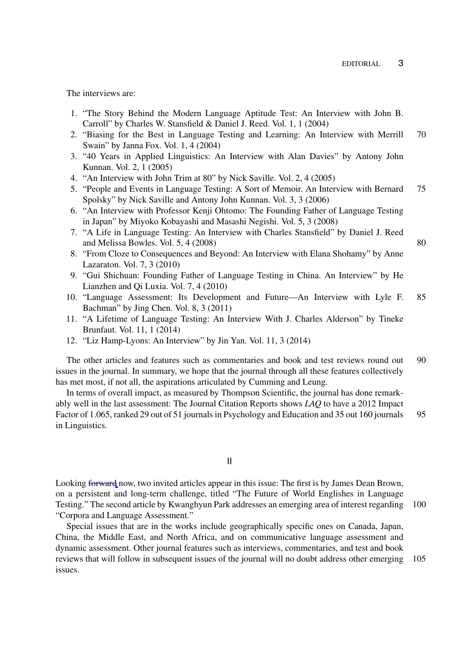The interviews are:

- 1. "The Story Behind the Modern Language Aptitude Test: An Interview with John B. Carroll" by Charles W. Stansfield & Daniel J. Reed. Vol. 1, 1 (2004)
- 2. "Biasing for the Best in Language Testing and Learning: An Interview with Merrill 70 Swain" by Janna Fox. Vol. 1, 4 (2004)
- 3. "40 Years in Applied Linguistics: An Interview with Alan Davies" by Antony John Kunnan. Vol. 2, 1 (2005)
- 4. "An Interview with John Trim at 80" by Nick Saville. Vol. 2, 4 (2005)
- 5. "People and Events in Language Testing: A Sort of Memoir. An Interview with Bernard 75 Spolsky" by Nick Saville and Antony John Kunnan. Vol. 3, 3 (2006)
- 6. "An Interview with Professor Kenji Ohtomo: The Founding Father of Language Testing in Japan" by Miyoko Kobayashi and Masashi Negishi. Vol. 5, 3 (2008)
- 7. "A Life in Language Testing: An Interview with Charles Stansfield" by Daniel J. Reed and Melissa Bowles. Vol. 5,  $4(2008)$  80
- 8. "From Cloze to Consequences and Beyond: An Interview with Elana Shohamy" by Anne Lazaraton. Vol. 7, 3 (2010)
- 9. "Gui Shichuan: Founding Father of Language Testing in China. An Interview" by He Lianzhen and Qi Luxia. Vol. 7, 4 (2010)
- 10. "Language Assessment: Its Development and Future—An Interview with Lyle F. 85 Bachman" by Jing Chen. Vol. 8, 3 (2011)
- 11. "A Lifetime of Language Testing: An Interview With J. Charles Alderson" by Tineke Brunfaut. Vol. 11, 1 (2014)
- 12. "Liz Hamp-Lyons: An Interview" by Jin Yan. Vol. 11, 3 (2014)

The other articles and features such as commentaries and book and test reviews round out 90 issues in the journal. In summary, we hope that the journal through all these features collectively has met most, if not all, the aspirations articulated by Cumming and Leung.

In terms of overall impact, as measured by Thompson Scientific, the journal has done remarkably well in the last assessment: The Journal Citation Reports shows *LAQ* to have a 2012 Impact Factor of 1.065, ranked 29 out of 51 journals in Psychology and Education and 35 out 160 journals 95 in Linguistics.

II

Looking forward now, two invited articles appear in this issue: The first is by James Dean Brown, on a persistent and long-term challenge, titled "The Future of World Englishes in Language Testing." The second article by Kwanghyun Park addresses an emerging area of interest regarding 100 "Corpora and Language Assessment."

Special issues that are in the works include geographically specific ones on Canada, Japan, China, the Middle East, and North Africa, and on communicative language assessment and dynamic assessment. Other journal features such as interviews, commentaries, and test and book reviews that will follow in subsequent issues of the journal will no doubt address other emerging 105 issues.